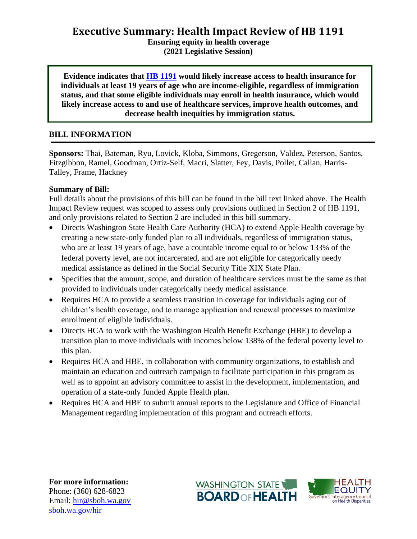**Executive Summary: Health Impact Review of HB 1191**

**Ensuring equity in health coverage (2021 Legislative Session)**

**Evidence indicates that [HB 1191](http://lawfilesext.leg.wa.gov/biennium/2021-22/Pdf/Bills/House%20Bills/1191.pdf?q=20210118150025) would likely increase access to health insurance for individuals at least 19 years of age who are income-eligible, regardless of immigration status, and that some eligible individuals may enroll in health insurance, which would likely increase access to and use of healthcare services, improve health outcomes, and decrease health inequities by immigration status.**

## **BILL INFORMATION**

**Sponsors:** Thai, Bateman, Ryu, Lovick, Kloba, Simmons, Gregerson, Valdez, Peterson, Santos, Fitzgibbon, Ramel, Goodman, Ortiz-Self, Macri, Slatter, Fey, Davis, Pollet, Callan, Harris-Talley, Frame, Hackney

### **Summary of Bill:**

Full details about the provisions of this bill can be found in the bill text linked above. The Health Impact Review request was scoped to assess only provisions outlined in Section 2 of HB 1191, and only provisions related to Section 2 are included in this bill summary.

- Directs Washington State Health Care Authority (HCA) to extend Apple Health coverage by creating a new state-only funded plan to all individuals, regardless of immigration status, who are at least 19 years of age, have a countable income equal to or below 133% of the federal poverty level, are not incarcerated, and are not eligible for categorically needy medical assistance as defined in the Social Security Title XIX State Plan.
- Specifies that the amount, scope, and duration of healthcare services must be the same as that provided to individuals under categorically needy medical assistance.
- Requires HCA to provide a seamless transition in coverage for individuals aging out of children's health coverage, and to manage application and renewal processes to maximize enrollment of eligible individuals.
- Directs HCA to work with the Washington Health Benefit Exchange (HBE) to develop a transition plan to move individuals with incomes below 138% of the federal poverty level to this plan.
- Requires HCA and HBE, in collaboration with community organizations, to establish and maintain an education and outreach campaign to facilitate participation in this program as well as to appoint an advisory committee to assist in the development, implementation, and operation of a state-only funded Apple Health plan.
- Requires HCA and HBE to submit annual reports to the Legislature and Office of Financial Management regarding implementation of this program and outreach efforts.

**For more information:** Phone: (360) 628-6823 Email: [hir@sboh.wa.gov](mailto:hir@sboh.wa.gov) [sboh.wa.gov/](http://sboh.wa.gov/)hir